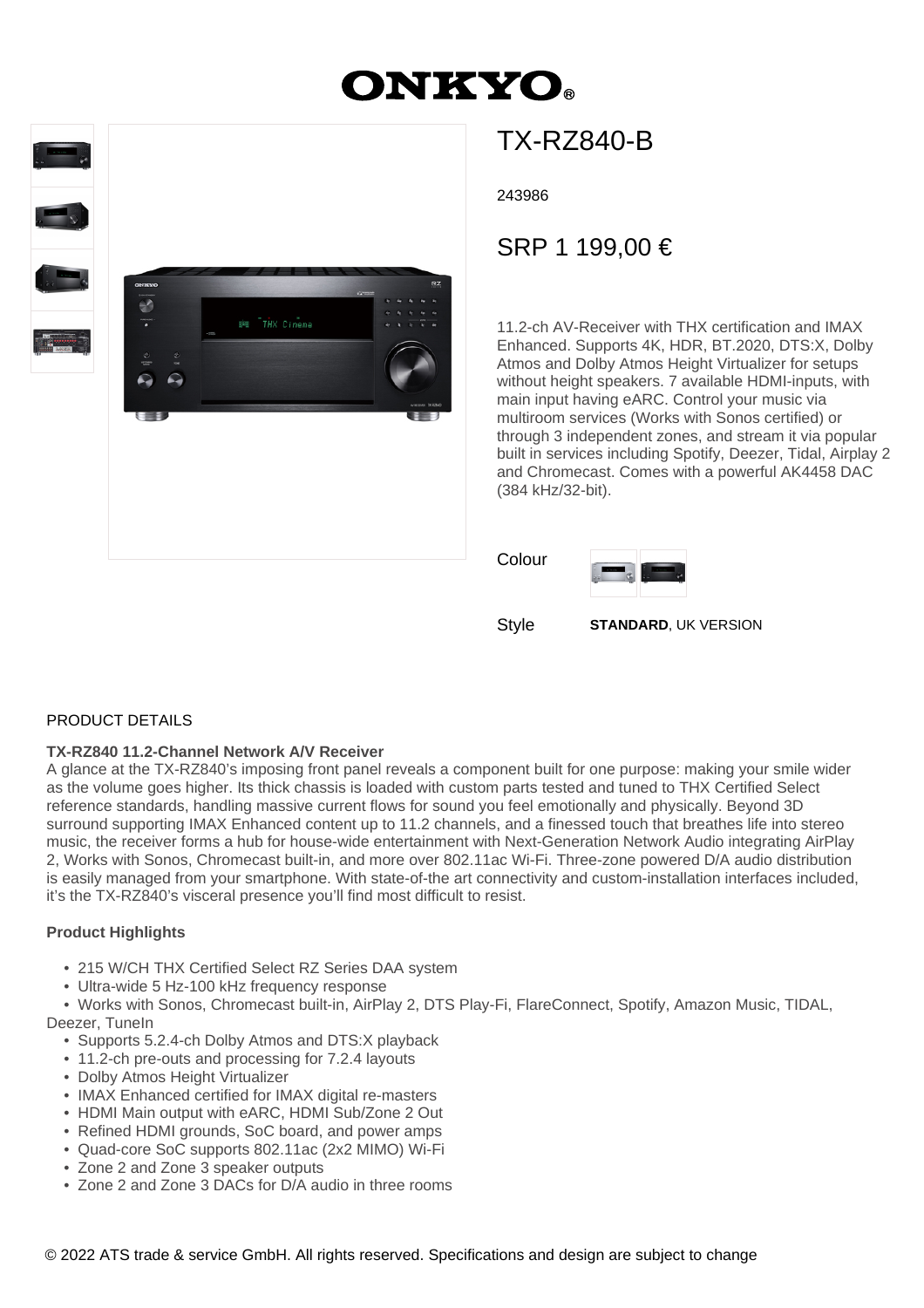# **ONKYO**



## TX-RZ840-B

243986

### SRP 1 199,00 €

11.2-ch AV-Receiver with THX certification and IMAX Enhanced. Supports 4K, HDR, BT.2020, DTS:X, Dolby Atmos and Dolby Atmos Height Virtualizer for setups without height speakers. 7 available HDMI-inputs, with main input having eARC. Control your music via multiroom services (Works with Sonos certified) or through 3 independent zones, and stream it via popular built in services including Spotify, Deezer, Tidal, Airplay 2 and Chromecast. Comes with a powerful AK4458 DAC (384 kHz/32-bit).

Colour



Style **STANDARD**, UK VERSION

#### PRODUCT DETAILS

#### **TX-RZ840 11.2-Channel Network A/V Receiver**

A glance at the TX-RZ840's imposing front panel reveals a component built for one purpose: making your smile wider as the volume goes higher. Its thick chassis is loaded with custom parts tested and tuned to THX Certified Select reference standards, handling massive current flows for sound you feel emotionally and physically. Beyond 3D surround supporting IMAX Enhanced content up to 11.2 channels, and a finessed touch that breathes life into stereo music, the receiver forms a hub for house-wide entertainment with Next-Generation Network Audio integrating AirPlay 2, Works with Sonos, Chromecast built-in, and more over 802.11ac Wi-Fi. Three-zone powered D/A audio distribution is easily managed from your smartphone. With state-of-the art connectivity and custom-installation interfaces included, it's the TX-RZ840's visceral presence you'll find most difficult to resist.

#### **Product Highlights**

- 215 W/CH THX Certified Select RZ Series DAA system
- Ultra-wide 5 Hz-100 kHz frequency response

 • Works with Sonos, Chromecast built-in, AirPlay 2, DTS Play-Fi, FlareConnect, Spotify, Amazon Music, TIDAL, Deezer, TuneIn

- Supports 5.2.4-ch Dolby Atmos and DTS:X playback
- 11.2-ch pre-outs and processing for 7.2.4 layouts
- Dolby Atmos Height Virtualizer
- IMAX Enhanced certified for IMAX digital re-masters
- HDMI Main output with eARC, HDMI Sub/Zone 2 Out
- Refined HDMI grounds, SoC board, and power amps
- Quad-core SoC supports 802.11ac (2x2 MIMO) Wi-Fi
- Zone 2 and Zone 3 speaker outputs
- Zone 2 and Zone 3 DACs for D/A audio in three rooms